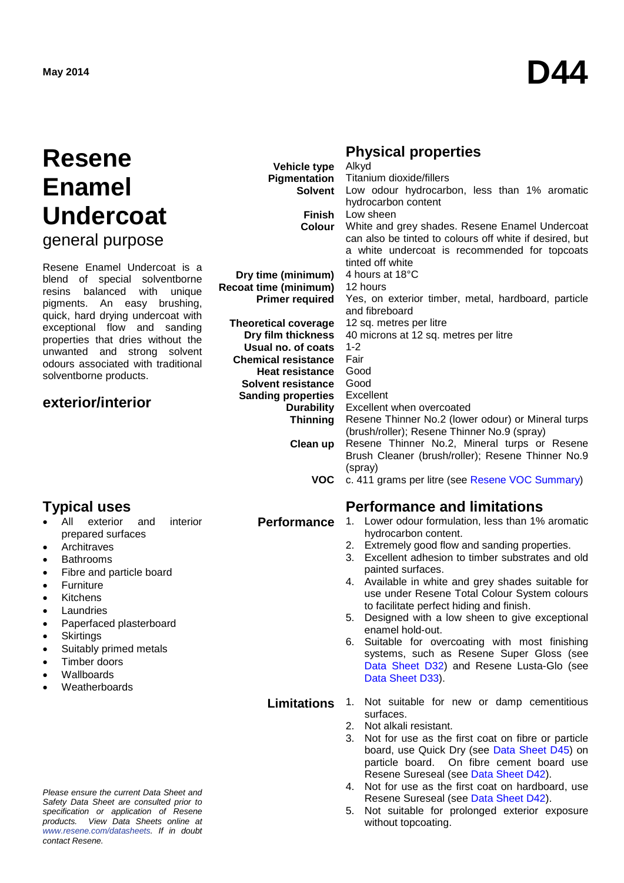# **Resene Enamel Undercoat**

general purpose

Resene Enamel Undercoat is a blend of special solventborne resins balanced with unique pigments. An easy brushing, quick, hard drying undercoat with exceptional flow and sanding properties that dries without the unwanted and strong solvent odours associated with traditional solventborne products.

## **exterior/interior**

- exterior and prepared surfaces
- **Architraves**
- **Bathrooms**
- Fibre and particle board
- **Furniture**
- **Kitchens**
- **Laundries**
- Paperfaced plasterboard
- Skirtings
- Suitably primed metals
- Timber doors
- Wallboards
- **Weatherboards**

*Please ensure the current Data Sheet and Safety Data Sheet are consulted prior to specification or application of Resene products. View Data Sheets online at [www.resene.com/datasheets.](http://www.resene.com/datasheets) If in doubt contact Resene.*

|  | <b>Physical properties</b> |
|--|----------------------------|
|--|----------------------------|

| <b>Vehicle type</b>          | Alkyd                                                   |
|------------------------------|---------------------------------------------------------|
| Pigmentation                 | Titanium dioxide/fillers                                |
| Solvent                      | Low odour hydrocarbon, less than 1% aromatic            |
|                              | hydrocarbon content                                     |
| Finish                       | Low sheen                                               |
|                              | Colour White and grey shades. Resene Enamel Undercoat   |
|                              | can also be tinted to colours off white if desired, but |
|                              | a white undercoat is recommended for topcoats           |
|                              | tinted off white                                        |
| Dry time (minimum)           | 4 hours at 18°C                                         |
| <b>Recoat time (minimum)</b> | 12 hours                                                |
| <b>Primer required</b>       | Yes, on exterior timber, metal, hardboard, particle     |
|                              | and fibreboard                                          |
| <b>Theoretical coverage</b>  | 12 sq. metres per litre                                 |
| Dry film thickness           | 40 microns at 12 sq. metres per litre                   |
| Usual no. of coats           | $1 - 2$                                                 |
| <b>Chemical resistance</b>   | Fair                                                    |
| <b>Heat resistance</b>       | Good                                                    |
| Solvent resistance           | Good                                                    |
| <b>Sanding properties</b>    | Excellent                                               |
| <b>Durability</b>            | Excellent when overcoated                               |
| <b>Thinning</b>              | Resene Thinner No.2 (lower odour) or Mineral turps      |
|                              | (brush/roller); Resene Thinner No.9 (spray)             |
| Clean up                     | Resene Thinner No.2, Mineral turps or Resene            |
|                              | Brush Cleaner (brush/roller); Resene Thinner No.9       |
|                              | (spray)                                                 |
| <b>VOC</b>                   | c. 411 grams per litre (see Resene VOC Summary)         |
|                              |                                                         |

# **Typical uses**<br>• All exterior and interior **Performance** 1. Lower odour formulation, less than 1%

- Lower odour formulation, less than 1% aromatic hydrocarbon content.
- 2. Extremely good flow and sanding properties.
- 3. Excellent adhesion to timber substrates and old painted surfaces.
- 4. Available in white and grey shades suitable for use under Resene Total Colour System colours to facilitate perfect hiding and finish.
- 5. Designed with a low sheen to give exceptional enamel hold-out.
- 6. Suitable for overcoating with most finishing systems, such as Resene Super Gloss (see [Data Sheet D32\)](http://www.resene.co.nz/archspec/datashts/d32_Super_Gloss_Enamel.pdf) and Resene Lusta-Glo (see [Data Sheet D33\)](http://www.resene.co.nz/archspec/datashts/d33_Lusta-Glo_Enamel.pdf).
- **Limitations** 1. Not suitable for new or damp cementitious surfaces.
	- 2. Not alkali resistant.
	- 3. Not for use as the first coat on fibre or particle board, use Quick Dry (see [Data Sheet D45\)](http://www.resene.co.nz/archspec/datashts/d45_QuickDryPrimerUndercoat.pdf) on particle board. On fibre cement board use Resene Sureseal (see [Data Sheet D42\)](http://www.resene.co.nz/archspec/datashts/d42_Sureseal_Sealer.pdf).
	- 4. Not for use as the first coat on hardboard, use Resene Sureseal (see [Data Sheet D42\)](http://www.resene.co.nz/archspec/datashts/d42_Sureseal_Sealer.pdf).
	- 5. Not suitable for prolonged exterior exposure without topcoating.